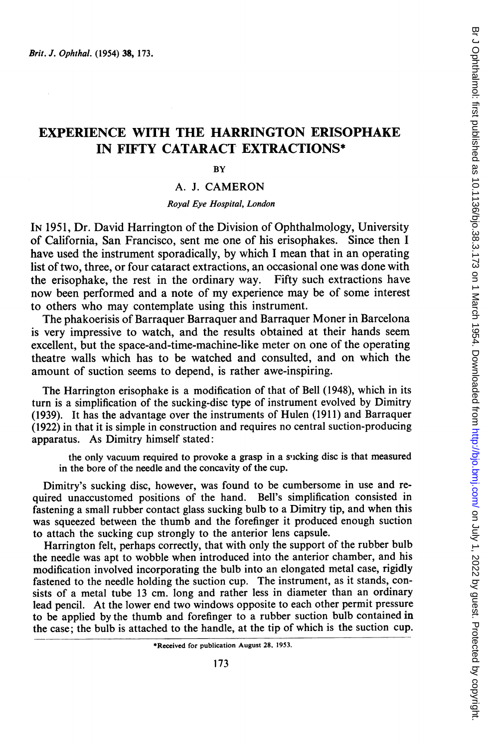# EXPERIENCE WITH THE HARRINGTON ERISOPHAKE IN FIFTY CATARACT EXTRACTIONS\*

#### **BY**

### A. J. CAMERON

#### Royal Eye Hospital, London

IN 1951, Dr. David Harrington of the Division of Ophthalmology, University of California, San Francisco, sent me one of his erisophakes. Since then <sup>I</sup> have used the instrument sporadically, by which <sup>I</sup> mean that in an operating list of two, three, or four cataract extractions, an occasional one was done with the erisophake, the rest in the ordinary way. Fifty such extractions have now been performed and a note of my experience may be of some interest to others who may contemplate using this instrument.

The phakoerisis of Barraquer Barraquer and Barraquer Moner in Barcelona is very impressive to watch, and the results obtained at their hands seem excellent, but the space-and-time-machine-like meter on one of the operating theatre walls which has to be watched and consulted, and on which the amount of suction seems to depend, is rather awe-inspiring.

The Harrington erisophake is a modification of that of Bell (1948), which in its turn is a simplification of the sucking-disc type of instrument evolved by Dimitry (1939). It has the advantage over the instruments of Hulen (1911) and Barraquer (1922) in that it is simple in construction and requires no central suction-producing apparatus. As Dimitry himself stated:

the only vacuum required to provoke a grasp in a <sup>s</sup>'icking disc is that measured in the bore of the needle and the concavity of the cup.

Dimitry's sucking disc, however, was found to be cumbersome in use and required unaccustomed positions of the hand. Bell's simplification consisted in fastening a small rubber contact glass sucking bulb to a Dimitry tip, and when this was squeezed between the thumb and the forefinger it produced enough suction to attach the sucking cup strongly to the anterior lens capsule.

Harrington felt, perhaps correctly, that with only the support of the rubber bulb the needle was apt to wobble when introduced into the anterior chamber, and his modification involved incorporating the bulb into an elongated metal case, rigidly fastened to the needle holding the suction cup. The instrument, as it stands, consists of a metal tube 13 cm. long and rather less in diameter than an ordinary lead pencil. At the lower end two windows opposite to each other permit pressure to be applied by the thumb and forefinger to a rubber suction bulb contained in the case; the bulb is attached to the handle, at the tip of which is the suction cup.

<sup>\*</sup>Received for publication August 28, 1953.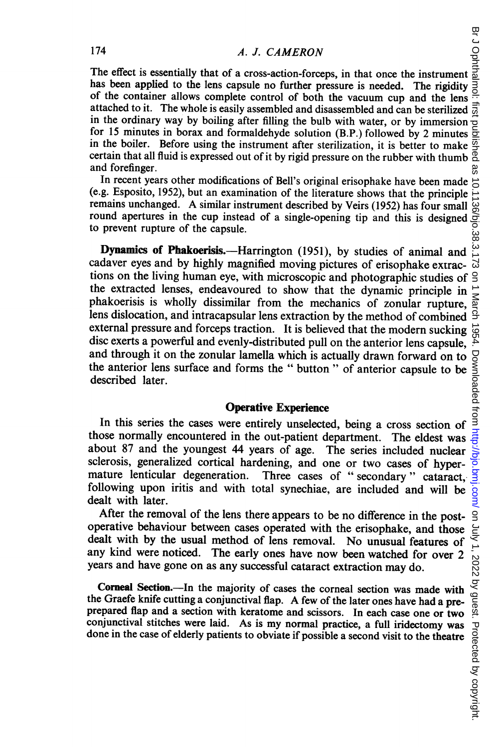174<br>174 *A. J. CAMERON*<br>The effect is essentially that of a cross-action-forceps, in that once the instrument  $\frac{3}{5}$ has been applied to the lens capsule no further pressure is needed. The rigidity of the container allows complete control of both the vacuum cup and the lens attached to it. The whole is easily assembled and disassembled and can be sterilized  $\frac{1}{\omega}$ in the ordinary way by boiling after filling the bulb with water, or by immersion  $\frac{1}{2}$ for <sup>15</sup> minutes in borax and formaldehyde solution (B.P.) followed by 2 minutes in the boiler. Before using the instrument after sterilization, it is better to make certain that all fluid is expressed out of it by rigid pressure on the rubber with thumb  $\frac{a}{b}$ and forefinger.

In recent years other modifications of Bell's original erisophake have been made (e.g. Esposito, 1952), but an examination of the literature shows that the principle remains unchanged. A similar instrument described by Veirs (1952) has four small  $\frac{\overline{\omega}}{\omega}$  round apertures in the cup instead of a single-opening tip and this is designed  $\frac{\overline{\omega}}{\omega}$  to prevent rupture of the capsul round apertures in the cup instead of a single-opening tip and this is designed to prevent rupture of the capsule.

Dynamics of Phakoerisis.—Harrington (1951), by studies of animal and cadaver eyes and by highly magnified moving pictures of erisophake extractions on the living human eye, with microscopic and photographic studies of the extracted lenses, endeavoured to show that the dynamic principle in phakoerisis is wholly dissimilar from the mechanics of zonular rupture, lens dislocation, and intracapsular lens extraction by the method of combined external pressure and forceps traction. It is believed that the modern sucking disc exerts a powerful and evenly-distributed pull on the anterior lens capsule, and through it on the zonular lamella which is actually drawn forward on to the anterior lens surface and forms the " button " of anterior capsule to be described later.

### Operative Experience

In this series the cases were entirely unselected, being a cross section of those normally encountered in the out-patient department. The eldest was about 87 and the youngest 44 years of age. The series included nuclear sclerosis, generalized cortical hardening, and one or two cases of hypermature lenticular degeneration. Three cases of " secondary " cataract, following upon iritis and with total synechiae, are included and will be dealt with later.

After the removal of the lens there appears to be no difference in the postoperative behaviour between cases operated with the erisophake, and those dealt with by the usual method of lens removal. No unusual features of any kind were noticed. The early ones have now been watched for over 2 years and have gone on as any successful cataract extraction may do.

Corneal Section.-In the majority of cases the corneal section was made with the Graefe knife cutting <sup>a</sup> conjunctival flap. A few of the later ones have had <sup>a</sup> preprepared flap and a section with keratome and scissors. In each case one or two conjunctival stitches were laid. As is my normal practice, <sup>a</sup> full iridectomy was done in the case of elderly patients to obviate if possible a second visit to the theatre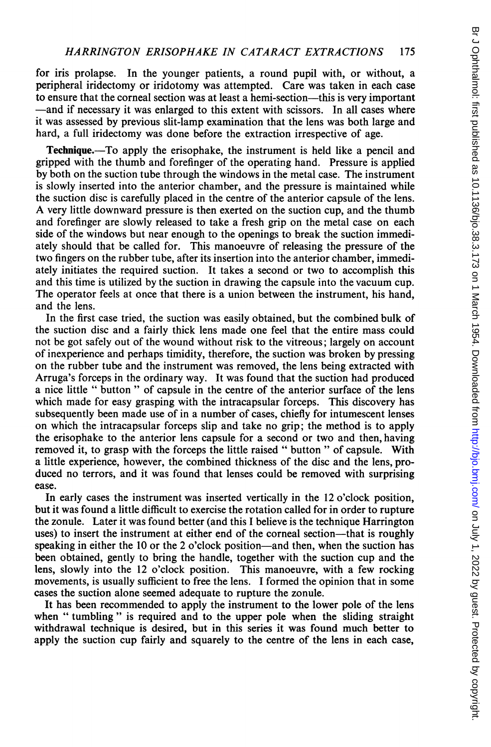for iris prolapse. In the younger patients, a round pupil with, or without, a peripheral iridectomy or iridotomy was attempted. Care was taken in each case to ensure that the corneal section was at least a hemi-section-this is very important -and if necessary it was enlarged to this extent with scissors. In all cases where it was assessed by previous slit-lamp examination that the lens was both large and hard, a full iridectomy was done before the extraction irrespective of age.

Technique.—To apply the erisophake, the instrument is held like a pencil and gripped with the thumb and forefinger of the operating hand. Pressure is applied by both on the suction tube through the windows in the metal case. The instrument is slowly inserted into the anterior chamber, and the pressure is maintained while the suction disc is carefully placed in the centre of the anterior capsule of the lens. A very little downward pressure is then exerted on the suction cup, and the thumb and forefinger are slowly released to take a fresh grip on the metal case on each side of the windows but near enough to the openings to break the suction immediately should that be called for. This manoeuvre of releasing the pressure of the two fingers on the rubber tube, after its insertion into the anterior chamber, immediately initiates the required suction. It takes a second or two to accomplish this and this time is utilized by the suction in drawing the capsule into the vacuum cup. The operator feels at once that there is a union between the instrument, his hand, and the lens.

In the first case tried, the suction was easily obtained, but the combined bulk of the suction disc and a fairly thick lens made one feel that the entire mass could not be got safely out of the wound without risk to the vitreous; largely on account of inexperience and perhaps timidity, therefore, the suction was broken by pressing on the rubber tube and the instrument was removed, the lens being extracted with Arruga's forceps in the ordinary way. It was found that the suction had produced a nice little " button " of capsule in the centre of the anterior surface of the lens which made for easy grasping with the intracapsular forceps. This discovery has subsequently been made use of in a number of cases, chiefly for intumescent lenses on which the intracapsular forceps slip and take no grip; the method is to apply the erisophake to the anterior lens capsule for a second or two and then, having removed it, to grasp with the forceps the little raised " button " of capsule. With a little experience, however, the combined thickness of the disc and the lens, produced no terrors, and it was found that lenses could be removed with surprising ease.

In early cases the instrument was inserted vertically in the 12 o'clock position, but it was found a little difficult to exercise the rotation called for in order to rupture the zonule. Later it was found better (and this <sup>I</sup> believe is the technique Harrington uses) to insert the instrument at either end of the corneal section-that is roughly speaking in either the 10 or the 2 o'clock position-and then, when the suction has been obtained, gently to bring the handle, together with the suction cup and the lens, slowly into the 12 o'clock position. This manoeuvre, with a few rocking movements, is usually sufficient to free the lens. <sup>I</sup> formed the opinion that in some cases the suction alone seemed adequate to rupture the zonule.

It has been recommended to apply the instrument to the lower pole of the lens when " tumbling" is required and to the upper pole when the sliding straight withdrawal technique is desired, but in this series it was found much better to apply the suction cup fairly and squarely to the centre of the lens in each case,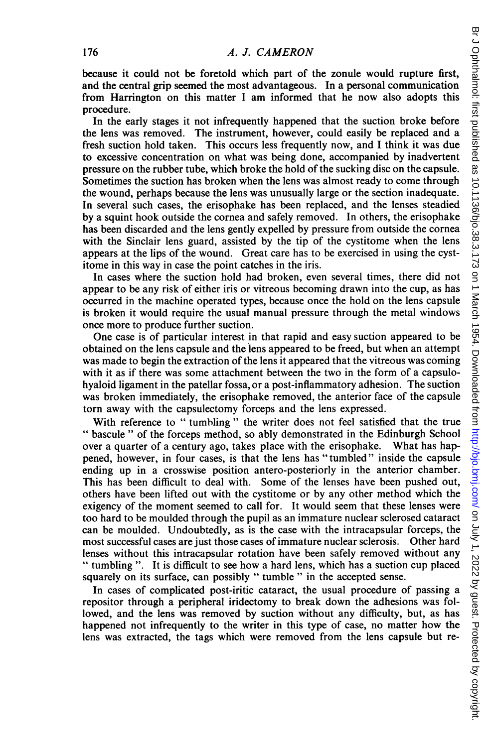because it could not be foretold which part of the zonule would rupture first, and the central grip seemed the most advantageous. In a personal communication from Harrington on this matter <sup>I</sup> am informed that he now also adopts this procedure.

In the early stages it not infrequently happened that the suction broke before the lens was removed. The instrument, however, could easily be replaced and a fresh suction hold taken. This occurs less frequently now, and <sup>I</sup> think it was due to excessive concentration on vhat was being done, accompanied by inadvertent pressure on the rubber tube, which broke the hold of the sucking disc on the capsule. Sometimes the suction has broken when the lens was almost ready to come through the wound, perhaps because the lens was unusually large or the section inadequate. In several such cases, the erisophake has been replaced, and the lenses steadied by a squint hook outside the cornea and safely removed. In others, the erisophake has been discarded and the lens gently expelled by pressure from outside the cornea with the Sinclair lens guard, assisted by the tip of the cystitome when the lens appears at the lips of the wound. Great care has to be exercised in using the cystitome in this way in case the point catches in the iris.

In cases where the suction hold had broken, even several times, there did not appear to be any risk of either iris or vitreous becoming drawn into the cup, as has occurred in the machine operated types, because once the hold on the lens capsule is broken it would require the usual manual pressure through the metal windows once more to produce further suction.

One case is of particular interest in that rapid and easy suction appeared to be obtained on the lens capsule and the lens appeared to be freed, but when an attempt was made to begin the extraction of the lens it appeared that the vitreous was coming with it as if there was some attachment between the two in the form of a capsulohyaloid ligament in the patellar fossa, or a post-inflammatory adhesion. The suction was broken immediately, the erisophake removed, the anterior face of the capsule torn away with the capsulectomy forceps and the lens expressed.

With reference to "tumbling" the writer does not feel satisfied that the true " bascule " of the forceps method, so ably demonstrated in the Edinburgh School over a quarter of a century ago, takes place with the erisophake. What has happened, however, in four cases, is that the lens has "tumbled" inside the capsule ending up in a crosswise position antero-posteriorly in the anterior chamber. This has been difficult to deal with. Some of the lenses have been pushed out, others have been lifted out with the cystitome or by any other method which the exigency of the moment seemed to call for. It would seem that these lenses were too hard to be moulded through the pupil as an immature nuclear sclerosed cataract can be moulded. Undoubtedly, as is the case with the intracapsular forceps, the most successful cases are just those cases of immature nuclear sclerosis. Other hard lenses without this intracapsular rotation have been safely removed without any "tumbling ". It is difficult to see how <sup>a</sup> hard lens, which has <sup>a</sup> suction cup placed squarely on its surface, can possibly "tumble " in the accepted sense.

In cases of complicated post-iritic cataract, the usual procedure of passing a repositor through a peripheral iridectomy to break down the adhesions was followed, and the lens was removed by suction without any difficulty, but, as has happened not infrequently to the writer in this type of case, no matter how the lens was extracted, the tags which were removed from the lens capsule but re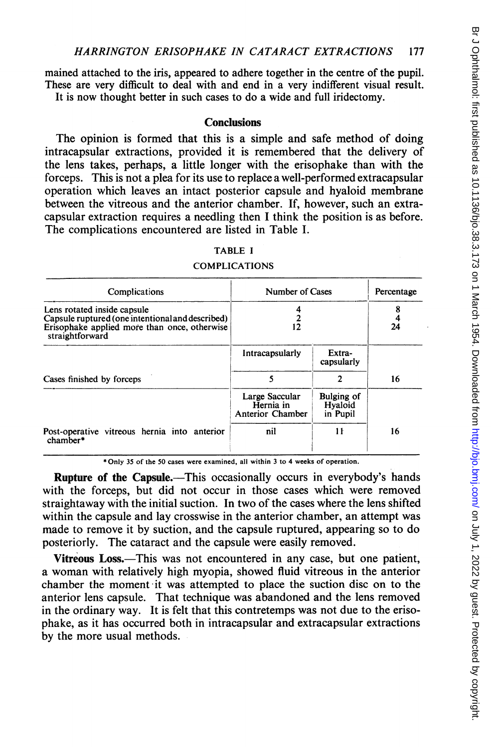mained attached to the iris, appeared to adhere together in the centre of the pupil. These are very difficult to deal with and end in a very indifferent visual result. It is now thought better in such cases to do a wide and full iridectomy.

#### **Conclusions**

The opinion is formed that this is a simple and safe method of doing intracapsular extractions, provided it is remembered that the delivery of the lens takes, perhaps, a little longer with the erisophake than with the forceps. This is not a plea for its use to replace a well-performed extracapsular operation which leaves an intact posterior capsule and hyaloid membrane between the vitreous and the anterior chamber. If, however, such an extracapsular extraction requires a needling then I think the position is as before. The complications encountered are listed in Table I.

| _<br>_<br>-<br>__<br>-- |  |
|-------------------------|--|
|-------------------------|--|

## Complications Number of Cases Percentage Lens rotated inside capsule<br>
Capsule ruptured (one intentional and described)<br>
Erisophake applied more than once, otherwise<br>  $12$ <br>
24<br>
24 Capsule ruptured (one intentional and described) and  $\begin{array}{ccc} 2 & 4 \\ 12 & 24 \end{array}$  24 Erisophake applied more than once, otherwise straightforward Intracapsularly Extracapsularly Cases finished by forceps 5 5 2 16 Large Saccular Bulging of<br>Hernia in Hyaloid Hernia in Hyaloid<br>
erior Chamber in Pupil Anterior Chamber Post-operative vitreous hernia into anterior  $\vert$  nil 16 chamber\*

#### COMPLICATIONS

\*Only 35 of the 50 cases were examined, all within 3 to 4 weeks of operation.

Rupture of the Capsule.—This occasionally occurs in everybody's hands with the forceps, but did not occur in those cases which were removed straightaway with the initial suction. In two of the cases where the lens shifted within the capsule and lay crosswise in the anterior chamber, an attempt was made to remove it by suction, and the capsule ruptured, appearing so to do posteriorly. The cataract and the capsule were easily removed.

Vitreous Loss.—This was not encountered in any case, but one patient, a woman with relatively high myopia, showed fluid vitreous in the anterior chamber the moment it was attempted to place the suction disc on to the anterior lens capsule. That technique was abandoned and the lens removed in the ordinary way. It is felt that this contretemps was not due to the erisophake, as it has occurred both in intracapsular and extracapsular extractions by the more usual methods.